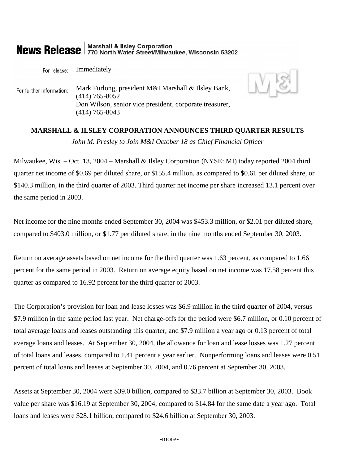## **Marshall & Ilsley Corporation News Release** 770 North Water Street/Milwaukee, Wisconsin 53202

For release: Immediately Mark Furlong, president M&I Marshall & Ilsley Bank, For further information: (414) 765-8052 Don Wilson, senior vice president, corporate treasurer, (414) 765-8043



# **MARSHALL & ILSLEY CORPORATION ANNOUNCES THIRD QUARTER RESULTS**  *John M. Presley to Join M&I October 18 as Chief Financial Officer*

Milwaukee, Wis. – Oct. 13, 2004 – Marshall & Ilsley Corporation (NYSE: MI) today reported 2004 third quarter net income of \$0.69 per diluted share, or \$155.4 million, as compared to \$0.61 per diluted share, or \$140.3 million, in the third quarter of 2003. Third quarter net income per share increased 13.1 percent over the same period in 2003.

Net income for the nine months ended September 30, 2004 was \$453.3 million, or \$2.01 per diluted share, compared to \$403.0 million, or \$1.77 per diluted share, in the nine months ended September 30, 2003.

Return on average assets based on net income for the third quarter was 1.63 percent, as compared to 1.66 percent for the same period in 2003. Return on average equity based on net income was 17.58 percent this quarter as compared to 16.92 percent for the third quarter of 2003.

The Corporation's provision for loan and lease losses was \$6.9 million in the third quarter of 2004, versus \$7.9 million in the same period last year. Net charge-offs for the period were \$6.7 million, or 0.10 percent of total average loans and leases outstanding this quarter, and \$7.9 million a year ago or 0.13 percent of total average loans and leases. At September 30, 2004, the allowance for loan and lease losses was 1.27 percent of total loans and leases, compared to 1.41 percent a year earlier. Nonperforming loans and leases were 0.51 percent of total loans and leases at September 30, 2004, and 0.76 percent at September 30, 2003.

Assets at September 30, 2004 were \$39.0 billion, compared to \$33.7 billion at September 30, 2003. Book value per share was \$16.19 at September 30, 2004, compared to \$14.84 for the same date a year ago. Total loans and leases were \$28.1 billion, compared to \$24.6 billion at September 30, 2003.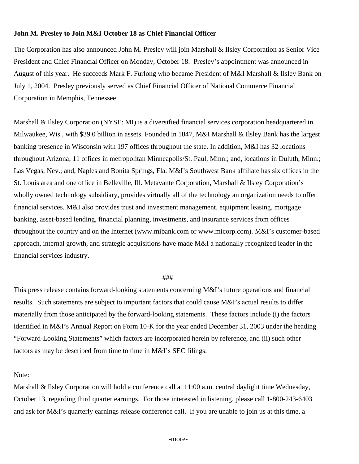## **John M. Presley to Join M&I October 18 as Chief Financial Officer**

The Corporation has also announced John M. Presley will join Marshall & Ilsley Corporation as Senior Vice President and Chief Financial Officer on Monday, October 18. Presley's appointment was announced in August of this year. He succeeds Mark F. Furlong who became President of M&I Marshall & Ilsley Bank on July 1, 2004. Presley previously served as Chief Financial Officer of National Commerce Financial Corporation in Memphis, Tennessee.

Marshall & Ilsley Corporation (NYSE: MI) is a diversified financial services corporation headquartered in Milwaukee, Wis., with \$39.0 billion in assets. Founded in 1847, M&I Marshall & Ilsley Bank has the largest banking presence in Wisconsin with 197 offices throughout the state. In addition, M&I has 32 locations throughout Arizona; 11 offices in metropolitan Minneapolis/St. Paul, Minn.; and, locations in Duluth, Minn.; Las Vegas, Nev.; and, Naples and Bonita Springs, Fla. M&I's Southwest Bank affiliate has six offices in the St. Louis area and one office in Belleville, Ill. Metavante Corporation, Marshall & Ilsley Corporation's wholly owned technology subsidiary, provides virtually all of the technology an organization needs to offer financial services. M&I also provides trust and investment management, equipment leasing, mortgage banking, asset-based lending, financial planning, investments, and insurance services from offices throughout the country and on the Internet (www.mibank.com or www.micorp.com). M&I's customer-based approach, internal growth, and strategic acquisitions have made M&I a nationally recognized leader in the financial services industry.

### ###

This press release contains forward-looking statements concerning M&I's future operations and financial results. Such statements are subject to important factors that could cause M&I's actual results to differ materially from those anticipated by the forward-looking statements. These factors include (i) the factors identified in M&I's Annual Report on Form 10-K for the year ended December 31, 2003 under the heading "Forward-Looking Statements" which factors are incorporated herein by reference, and (ii) such other factors as may be described from time to time in M&I's SEC filings.

## Note:

Marshall & Ilsley Corporation will hold a conference call at 11:00 a.m. central daylight time Wednesday, October 13, regarding third quarter earnings. For those interested in listening, please call 1-800-243-6403 and ask for M&I's quarterly earnings release conference call. If you are unable to join us at this time, a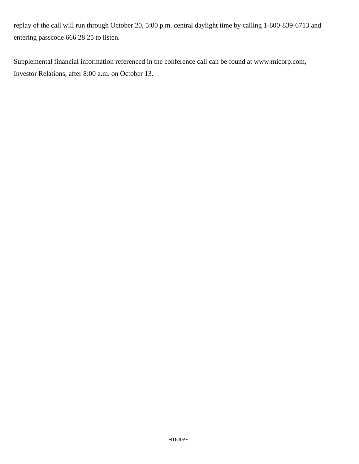replay of the call will run through October 20, 5:00 p.m. central daylight time by calling 1-800-839-6713 and entering passcode 666 28 25 to listen.

Supplemental financial information referenced in the conference call can be found at www.micorp.com, Investor Relations, after 8:00 a.m. on October 13.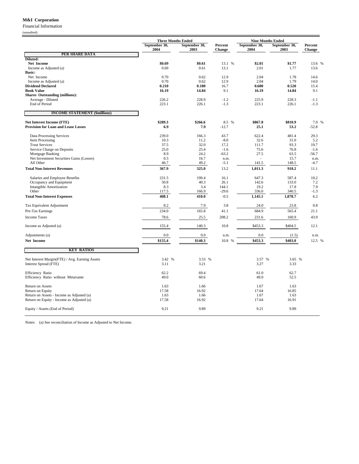#### **M&I Corporation**

Financial Information

| 0<br>mandi |  |
|------------|--|
|            |  |

|                                                                                | <b>Three Months Ended</b> |                       |                          |                                                   |                       |                          |
|--------------------------------------------------------------------------------|---------------------------|-----------------------|--------------------------|---------------------------------------------------|-----------------------|--------------------------|
|                                                                                | September 30,<br>2004     | September 30,<br>2003 | Percent<br><b>Change</b> | <b>Nine Months Ended</b><br>September 30,<br>2004 | September 30,<br>2003 | Percent<br><b>Change</b> |
| <b>PER SHARE DATA</b>                                                          |                           |                       |                          |                                                   |                       |                          |
| Diluted:                                                                       |                           |                       |                          | \$2.01                                            |                       |                          |
| Net Income<br>Income as Adjusted (a)                                           | \$0.69<br>0.69            | \$0.61<br>0.61        | 13.1 %<br>13.1           | 2.01                                              | \$1.77<br>1.77        | 13.6 %<br>13.6           |
| <b>Basic:</b>                                                                  |                           |                       |                          |                                                   |                       |                          |
| Net Income                                                                     | 0.70                      | 0.62                  | 12.9                     | 2.04                                              | 1.78                  | 14.6                     |
| Income as Adjusted (a)                                                         | 0.70                      | 0.62                  | 12.9                     | 2.04                                              | 1.79                  | 14.0                     |
| <b>Dividend Declared</b>                                                       | 0.210                     | 0.180                 | 16.7                     | 0.600                                             | 0.520                 | 15.4                     |
| <b>Book Value</b>                                                              | 16.19                     | 14.84                 | 9.1                      | 16.19                                             | 14.84                 | 9.1                      |
| Shares Outstanding (millions):                                                 |                           | 228.9                 |                          |                                                   |                       |                          |
| Average - Diluted<br>End of Period                                             | 226.2<br>223.1            | 226.1                 | $-1.2$<br>$-1.3$         | 225.9<br>223.1                                    | 228.3<br>226.1        | $-1.1$<br>$-1.3$         |
|                                                                                |                           |                       |                          |                                                   |                       |                          |
| <b>INCOME STATEMENT (\$millions)</b>                                           |                           |                       |                          |                                                   |                       |                          |
| <b>Net Interest Income (FTE)</b><br><b>Provision for Loan and Lease Losses</b> | \$289.3<br>6.9            | \$266.6<br>7.9        | 8.5 %<br>$-12.7$         | \$867.8<br>25.1                                   | \$810.9<br>53.2       | 7.0 %<br>$-52.8$         |
| Data Processing Services                                                       | 239.0                     | 166.3                 | 43.7                     | 622.4                                             | 481.4                 | 29.3                     |
| Item Processing                                                                | 10.3                      | 11.2                  | $-8.0$                   | 32.6                                              | 31.0                  | 5.2                      |
| <b>Trust Services</b>                                                          | 37.5                      | 32.0                  | 17.2                     | 111.7                                             | 93.3                  | 19.7                     |
| Service Charge on Deposits                                                     | 25.0                      | 25.4                  | $-1.6$                   | 75.6                                              | 76.8                  | $-1.6$                   |
| Mortgage Banking<br>Net Investment Securities Gains (Losses)                   | 8.9<br>0.5                | 24.2<br>16.7          | $-63.2$<br>n.m.          | 27.5                                              | 63.5<br>15.7          | $-56.7$<br>n.m.          |
| All Other                                                                      | 46.7                      | 49.2                  | $-5.1$                   | 141.5                                             | 148.5                 | $-4.7$                   |
| <b>Total Non-Interest Revenues</b>                                             | 367.9                     | 325.0                 | 13.2                     | 1,011.3                                           | 910.2                 | 11.1                     |
| Salaries and Employee Benefits                                                 | 231.5                     | 199.4                 | 16.1                     | 647.3                                             | 587.4                 | 10.2                     |
| Occupancy and Equipment                                                        | 50.8                      | 40.3                  | 26.1                     | 142.6                                             | 133.0                 | 7.2                      |
| <b>Intangible Amortization</b>                                                 | 8.3                       | 3.4                   | 144.1                    | 19.2                                              | 17.8                  | 7.9                      |
| Other                                                                          | 117.5                     | 166.9                 | $-29.6$                  | 336.0                                             | 340.5                 | $-1.3$                   |
| <b>Total Non-Interest Expenses</b>                                             | 408.1                     | 410.0                 | $-0.5$                   | 1,145.1                                           | 1,078.7               | 6.2                      |
| Tax Equivalent Adjustment                                                      | 8.2                       | 7.9                   | 3.8                      | 24.0                                              | 23.8                  | 0.8                      |
| Pre-Tax Earnings                                                               | 234.0                     | 165.8                 | 41.1                     | 684.9                                             | 565.4                 | 21.1                     |
| <b>Income Taxes</b>                                                            | 78.6                      | 25.5                  | 208.2                    | 231.6                                             | 160.9                 | 43.9                     |
| Income as Adjusted (a)                                                         | 155.4                     | 140.3                 | 10.8                     | \$453.3                                           | \$404.5               | 12.1                     |
| Adjustments (a)                                                                | $0.0\,$                   | 0.0                   | n.m.                     | 0.0                                               | (1.5)                 | n.m.                     |
| Net Income                                                                     | \$155.4                   | \$140.3               | 10.8 %                   | \$453.3                                           | \$403.0               | 12.5 %                   |
| <b>KEY RATIOS</b>                                                              |                           |                       |                          |                                                   |                       |                          |
| Net Interest Margin(FTE) / Avg. Earning Assets                                 | 3.42 %                    | 3.53 %                |                          | 3.57 %                                            | 3.65 %                |                          |
| Interest Spread (FTE)                                                          | 3.11                      | 3.21                  |                          | 3.27                                              | 3.33                  |                          |
| <b>Efficiency Ratio</b>                                                        | 62.2                      | 69.4                  |                          | 61.0                                              | 62.7                  |                          |
| Efficiency Ratio without Metavante                                             | 49.0                      | 60.6                  |                          | 49.0                                              | 52.5                  |                          |
| Return on Assets                                                               | 1.63                      | 1.66                  |                          | 1.67                                              | 1.63                  |                          |
| Return on Equity                                                               | 17.58                     | 16.92                 |                          | 17.64                                             | 16.85                 |                          |
| Return on Assets - Income as Adjusted (a)                                      | 1.63<br>17.58             | 1.66<br>16.92         |                          | 1.67                                              | 1.63                  |                          |
| Return on Equity - Income as Adjusted (a)                                      |                           |                       |                          | 17.64                                             | 16.91                 |                          |
| Equity / Assets (End of Period)                                                | 9.21                      | 9.89                  |                          | 9.21                                              | 9.89                  |                          |

Notes: (a) See reconciliation of Income as Adjusted to Net Income.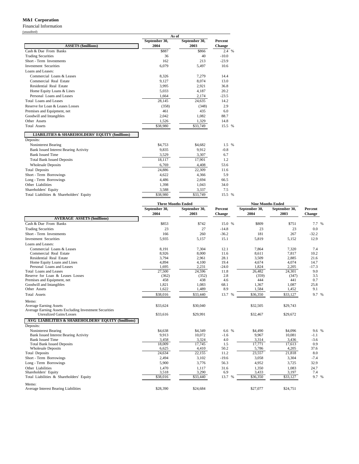#### **M&I Corporation**

Financial Information

| (unaudited) |  |
|-------------|--|
|-------------|--|

|                                                            | As of         |               |         |  |  |
|------------------------------------------------------------|---------------|---------------|---------|--|--|
|                                                            | September 30, | September 30, | Percent |  |  |
| <b>ASSETS (\$millions)</b>                                 | 2004          | 2003          | Change  |  |  |
| Cash & Due From Banks                                      | \$887         | \$866         | 2.4 %   |  |  |
| <b>Trading Securities</b>                                  | 36            | 40            | $-10.0$ |  |  |
| Short - Term Investments                                   | 162           | 213           | $-23.9$ |  |  |
| <b>Investment Securities</b>                               | 6.079         | 5,497         | 10.6    |  |  |
| Loans and Leases:                                          |               |               |         |  |  |
| Commercial Loans & Leases                                  | 8,326         | 7,279         | 14.4    |  |  |
| Commercial Real Estate                                     | 9,127         | 8,074         | 13.0    |  |  |
| Residential Real Estate                                    | 3,995         | 2,921         | 36.8    |  |  |
| Home Equity Loans & Lines                                  | 5,033         | 4,187         | 20.2    |  |  |
| Personal Loans and Leases                                  | 1.664         | 2.174         | $-23.5$ |  |  |
| Total Loans and Leases                                     | 28,145        | 24,635        | 14.2    |  |  |
| Reserve for Loan & Leases Losses                           | (358)         | (348)         | 2.9     |  |  |
| Premises and Equipment, net                                | 461           | 435           | 6.0     |  |  |
| Goodwill and Intangibles                                   | 2.042         | 1,082         | 88.7    |  |  |
| Other Assets                                               | 1,526         | 1.329         | 14.8    |  |  |
| <b>Total Assets</b>                                        | \$38,980      | \$33,749      | 15.5 %  |  |  |
| <b>LIABILITIES &amp; SHAREHOLDERS' EQUITY (\$millions)</b> |               |               |         |  |  |
| Deposits:                                                  |               |               |         |  |  |
| Noninterest Bearing                                        | \$4,753       | \$4,682       | 1.5 %   |  |  |
| <b>Bank Issued Interest Bearing Activity</b>               | 9,835         | 9,912         | $-0.8$  |  |  |
| <b>Bank Issued Time</b>                                    | 3,529         | 3,307         | 6.7     |  |  |
| <b>Total Bank Issued Deposits</b>                          | 18,117        | 17,901        | 1.2     |  |  |
| <b>Wholesale Deposits</b>                                  | 6,769         | 4,408         | 53.6    |  |  |
| <b>Total Deposits</b>                                      | 24,886        | 22,309        | 11.6    |  |  |
| Short - Term Borrowings                                    | 4,622         | 4,366         | 5.9     |  |  |
| Long - Term Borrowings                                     | 4,486         | 2,694         | 66.5    |  |  |
| Other Liabilities                                          | 1,398         | 1,043         | 34.0    |  |  |
| Shareholders' Equity                                       | 3,588         | 3,337         | 7.5     |  |  |
| Total Liabilities & Shareholders' Equity                   | \$38,980      | \$33,749      | 15.5 %  |  |  |

|                                                                | <b>Three Months Ended</b> |                       |                   | <b>Nine Months Ended</b> |                       |                   |  |
|----------------------------------------------------------------|---------------------------|-----------------------|-------------------|--------------------------|-----------------------|-------------------|--|
|                                                                | September 30,<br>2004     | September 30,<br>2003 | Percent<br>Change | September 30,<br>2004    | September 30,<br>2003 | Percent<br>Change |  |
| <b>AVERAGE ASSETS (\$millions)</b>                             |                           |                       |                   |                          |                       |                   |  |
| Cash & Due From Banks                                          | \$853                     | \$742                 | 15.0 %            | \$809                    | \$751                 | 7.7 %             |  |
| <b>Trading Securities</b>                                      | 23                        | 27                    | $-14.8$           | 23                       | 23                    | 0.0               |  |
| Short - Term Investments                                       | 166                       | 260                   | $-36.2$           | 181                      | 267                   | $-32.2$           |  |
| <b>Investment Securities</b>                                   | 5,935                     | 5,157                 | 15.1              | 5,819                    | 5,152                 | 12.9              |  |
| Loans and Leases:                                              |                           |                       |                   |                          |                       |                   |  |
| Commercial Loans & Leases                                      | 8,191                     | 7,304                 | 12.1              | 7,864                    | 7,320                 | 7.4               |  |
| Commercial Real Estate                                         | 8,926                     | 8,000                 | 11.6              | 8,611                    | 7,817                 | 10.2              |  |
| Residential Real Estate                                        | 3,794                     | 2,961                 | 28.1              | 3,509                    | 2,885                 | 21.6              |  |
| Home Equity Loans and Lines                                    | 4,894                     | 4,100                 | 19.4              | 4,674                    | 4,074                 | 14.7              |  |
| Personal Loans and Leases                                      | 1,695                     | 2,231                 | $-24.0$           | 1,824                    | 2,205                 | $-17.3$           |  |
| <b>Total Loans and Leases</b>                                  | 27,500                    | 24,596                | 11.8              | 26,482                   | 24,301                | 9.0               |  |
| Reserve for Loan & Leases Losses                               | (362)                     | (352)                 | 2.8               | (359)                    | (347)                 | 3.5               |  |
| Premises and Equipment, net                                    | 458                       | 438                   | 4.6               | 444                      | 441                   | 0.7               |  |
| Goodwill and Intangibles                                       | 1.821                     | 1,083                 | 68.1              | 1,367                    | 1,087                 | 25.8              |  |
| Other Assets                                                   | 1,622                     | 1,489                 | 8.9               | 1,584                    | 1,452                 | 9.1               |  |
| <b>Total Assets</b>                                            | \$38,016                  | \$33,440              | 13.7 %            | \$36,350                 | \$33,127              | 9.7 %             |  |
| Memo:                                                          |                           |                       |                   |                          |                       |                   |  |
| <b>Average Earning Assets</b>                                  | \$33,624                  | \$30,040              |                   | \$32,505                 | \$29,743              |                   |  |
| Average Earning Assets Excluding Investment Securities         |                           |                       |                   |                          |                       |                   |  |
| <b>Unrealized Gains/Losses</b>                                 | \$33,616                  | \$29,991              |                   | \$32,467                 | \$29,672              |                   |  |
| <b>AVG LIABILITIES &amp; SHAREHOLDERS' EQUITY (\$millions)</b> |                           |                       |                   |                          |                       |                   |  |
| Deposits:                                                      |                           |                       |                   |                          |                       |                   |  |
| Noninterest Bearing                                            | \$4,638                   | \$4,349               | 6.6 %             | \$4,490                  | \$4,096               | 9.6 %             |  |
| <b>Bank Issued Interest Bearing Activity</b>                   | 9,913                     | 10.072                | $-1.6$            | 9.967                    | 10,081                | $-1.1$            |  |
| <b>Bank Issued Time</b>                                        | 3,458                     | 3,324                 | 4.0               | 3,314                    | 3,436                 | $-3.6$            |  |
| <b>Total Bank Issued Deposits</b>                              | 18,009                    | 17.745                | 1.5               | 17,771                   | 17,613                | 0.9               |  |
| <b>Wholesale Deposits</b>                                      | 6,625                     | 4,410                 | 50.2              | 5,786                    | 4,205                 | 37.6              |  |
| <b>Total Deposits</b>                                          | 24,634                    | 22,155                | 11.2              | 23,557                   | 21,818                | 8.0               |  |
| Short - Term Borrowings                                        | 2,494                     | 3,102                 | $-19.6$           | 3,058                    | 3,304                 | $-7.4$            |  |
| Long - Term Borrowings                                         | 5,900                     | 3,776                 | 56.3              | 4,952                    | 3,725                 | 32.9              |  |
| Other Liabilities                                              | 1,470                     | 1,117                 | 31.6              | 1,350                    | 1,083                 | 24.7              |  |
| Shareholders' Equity                                           | 3,518                     | 3,290                 | 6.9               | 3,433                    | 3,197                 | 7.4               |  |
| Total Liabilities & Shareholders' Equity                       | \$38,016                  | \$33,440              | 13.7 %            | \$36,350                 | \$33,127              | 9.7 %             |  |
| Memo:                                                          |                           |                       |                   |                          |                       |                   |  |
| Average Interest Bearing Liabilities                           | \$28,390                  | \$24,684              |                   | \$27,077                 | \$24,751              |                   |  |